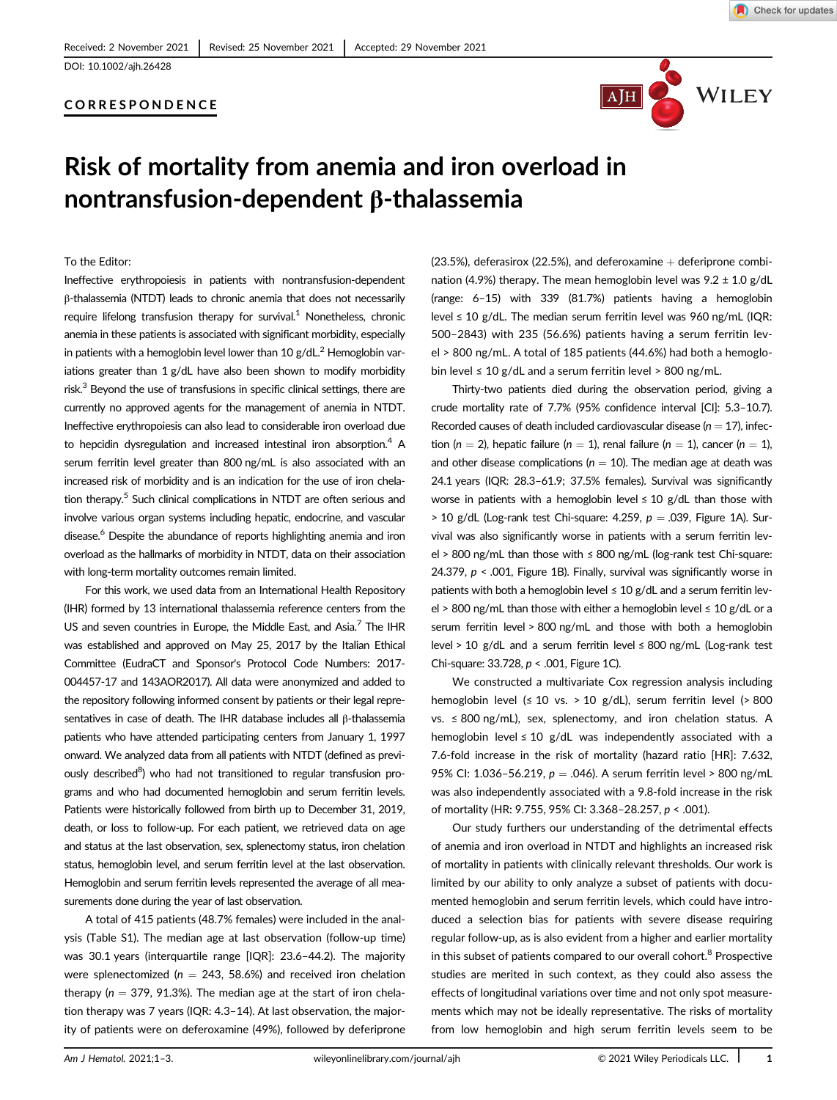## CORRESPONDENCE



# Risk of mortality from anemia and iron overload in nontransfusion-dependent β-thalassemia

To the Editor:

Ineffective erythropoiesis in patients with nontransfusion-dependent β-thalassemia (NTDT) leads to chronic anemia that does not necessarily require lifelong transfusion therapy for survival. $1$  Nonetheless, chronic anemia in these patients is associated with significant morbidity, especially in patients with a hemoglobin level lower than  $10$  g/dL.<sup>2</sup> Hemoglobin variations greater than 1 g/dL have also been shown to modify morbidity risk. $3$  Beyond the use of transfusions in specific clinical settings, there are currently no approved agents for the management of anemia in NTDT. Ineffective erythropoiesis can also lead to considerable iron overload due to hepcidin dysregulation and increased intestinal iron absorption.<sup>4</sup> A serum ferritin level greater than 800 ng/mL is also associated with an increased risk of morbidity and is an indication for the use of iron chelation therapy.<sup>5</sup> Such clinical complications in NTDT are often serious and involve various organ systems including hepatic, endocrine, and vascular disease.<sup>6</sup> Despite the abundance of reports highlighting anemia and iron overload as the hallmarks of morbidity in NTDT, data on their association with long-term mortality outcomes remain limited.

For this work, we used data from an International Health Repository (IHR) formed by 13 international thalassemia reference centers from the US and seven countries in Europe, the Middle East, and Asia.<sup>7</sup> The IHR was established and approved on May 25, 2017 by the Italian Ethical Committee (EudraCT and Sponsor's Protocol Code Numbers: 2017- 004457-17 and 143AOR2017). All data were anonymized and added to the repository following informed consent by patients or their legal representatives in case of death. The IHR database includes all β-thalassemia patients who have attended participating centers from January 1, 1997 onward. We analyzed data from all patients with NTDT (defined as previously described<sup>8</sup>) who had not transitioned to regular transfusion programs and who had documented hemoglobin and serum ferritin levels. Patients were historically followed from birth up to December 31, 2019, death, or loss to follow-up. For each patient, we retrieved data on age and status at the last observation, sex, splenectomy status, iron chelation status, hemoglobin level, and serum ferritin level at the last observation. Hemoglobin and serum ferritin levels represented the average of all measurements done during the year of last observation.

A total of 415 patients (48.7% females) were included in the analysis (Table S1). The median age at last observation (follow-up time) was 30.1 years (interquartile range [IQR]: 23.6–44.2). The majority were splenectomized ( $n = 243, 58.6%$ ) and received iron chelation therapy ( $n = 379$ , 91.3%). The median age at the start of iron chelation therapy was 7 years (IQR: 4.3–14). At last observation, the majority of patients were on deferoxamine (49%), followed by deferiprone (23.5%), deferasirox (22.5%), and deferoxamine  $+$  deferiprone combination (4.9%) therapy. The mean hemoglobin level was  $9.2 \pm 1.0$  g/dL (range: 6–15) with 339 (81.7%) patients having a hemoglobin level ≤ 10 g/dL. The median serum ferritin level was 960 ng/mL (IQR: 500–2843) with 235 (56.6%) patients having a serum ferritin level > 800 ng/mL. A total of 185 patients (44.6%) had both a hemoglobin level  $\leq 10$  g/dL and a serum ferritin level > 800 ng/mL.

Thirty-two patients died during the observation period, giving a crude mortality rate of 7.7% (95% confidence interval [CI]: 5.3–10.7). Recorded causes of death included cardiovascular disease ( $n = 17$ ), infection (n = 2), hepatic failure (n = 1), renal failure (n = 1), cancer (n = 1), and other disease complications ( $n = 10$ ). The median age at death was 24.1 years (IQR: 28.3–61.9; 37.5% females). Survival was significantly worse in patients with a hemoglobin level  $\leq 10$  g/dL than those with  $>$  10 g/dL (Log-rank test Chi-square: 4.259,  $p = .039$ , Figure 1A). Survival was also significantly worse in patients with a serum ferritin level > 800 ng/mL than those with ≤ 800 ng/mL (log-rank test Chi-square: 24.379,  $p < 0.001$ , Figure 1B). Finally, survival was significantly worse in patients with both a hemoglobin level  $\leq 10$  g/dL and a serum ferritin level > 800 ng/mL than those with either a hemoglobin level ≤ 10 g/dL or a serum ferritin level > 800 ng/mL and those with both a hemoglobin level > 10 g/dL and a serum ferritin level ≤ 800 ng/mL (Log-rank test Chi-square: 33.728, p < .001, Figure 1C).

We constructed a multivariate Cox regression analysis including hemoglobin level ( $\leq 10$  vs. > 10 g/dL), serum ferritin level (> 800 vs. ≤ 800 ng/mL), sex, splenectomy, and iron chelation status. A hemoglobin level  $\leq 10$  g/dL was independently associated with a 7.6-fold increase in the risk of mortality (hazard ratio [HR]: 7.632, 95% CI: 1.036-56.219,  $p = .046$ ). A serum ferritin level > 800 ng/mL was also independently associated with a 9.8-fold increase in the risk of mortality (HR: 9.755, 95% CI: 3.368–28.257, p < .001).

Our study furthers our understanding of the detrimental effects of anemia and iron overload in NTDT and highlights an increased risk of mortality in patients with clinically relevant thresholds. Our work is limited by our ability to only analyze a subset of patients with documented hemoglobin and serum ferritin levels, which could have introduced a selection bias for patients with severe disease requiring regular follow-up, as is also evident from a higher and earlier mortality in this subset of patients compared to our overall cohort.<sup>8</sup> Prospective studies are merited in such context, as they could also assess the effects of longitudinal variations over time and not only spot measurements which may not be ideally representative. The risks of mortality from low hemoglobin and high serum ferritin levels seem to be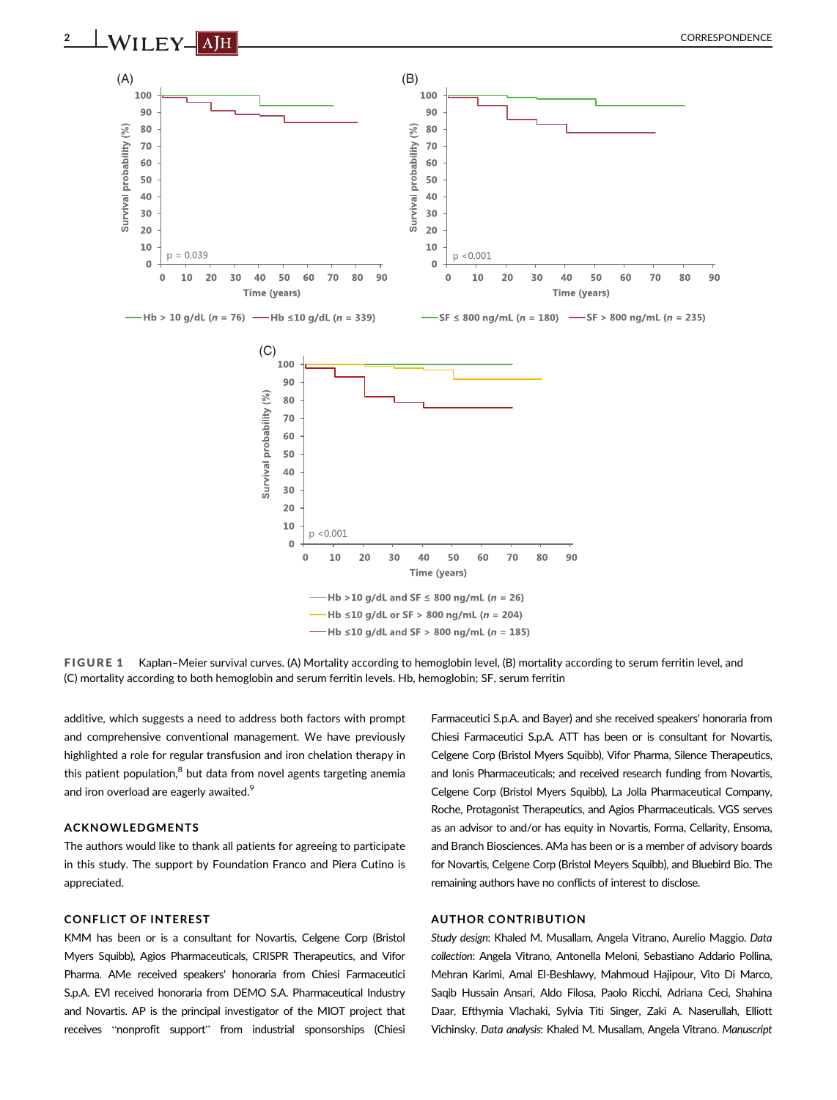



FIGURE 1 Kaplan–Meier survival curves. (A) Mortality according to hemoglobin level, (B) mortality according to serum ferritin level, and (C) mortality according to both hemoglobin and serum ferritin levels. Hb, hemoglobin; SF, serum ferritin

additive, which suggests a need to address both factors with prompt and comprehensive conventional management. We have previously highlighted a role for regular transfusion and iron chelation therapy in this patient population, $8$  but data from novel agents targeting anemia and iron overload are eagerly awaited.<sup>9</sup>

#### ACKNOWLEDGMENTS

The authors would like to thank all patients for agreeing to participate in this study. The support by Foundation Franco and Piera Cutino is appreciated.

#### CONFLICT OF INTEREST

KMM has been or is a consultant for Novartis, Celgene Corp (Bristol Myers Squibb), Agios Pharmaceuticals, CRISPR Therapeutics, and Vifor Pharma. AMe received speakers' honoraria from Chiesi Farmaceutici S.p.A. EVl received honoraria from DEMO S.A. Pharmaceutical Industry and Novartis. AP is the principal investigator of the MIOT project that receives "nonprofit support" from industrial sponsorships (Chiesi

Farmaceutici S.p.A. and Bayer) and she received speakers' honoraria from Chiesi Farmaceutici S.p.A. ATT has been or is consultant for Novartis, Celgene Corp (Bristol Myers Squibb), Vifor Pharma, Silence Therapeutics, and Ionis Pharmaceuticals; and received research funding from Novartis, Celgene Corp (Bristol Myers Squibb), La Jolla Pharmaceutical Company, Roche, Protagonist Therapeutics, and Agios Pharmaceuticals. VGS serves as an advisor to and/or has equity in Novartis, Forma, Cellarity, Ensoma, and Branch Biosciences. AMa has been or is a member of advisory boards for Novartis, Celgene Corp (Bristol Meyers Squibb), and Bluebird Bio. The remaining authors have no conflicts of interest to disclose.

#### AUTHOR CONTRIBUTION

Study design: Khaled M. Musallam, Angela Vitrano, Aurelio Maggio. Data collection: Angela Vitrano, Antonella Meloni, Sebastiano Addario Pollina, Mehran Karimi, Amal El-Beshlawy, Mahmoud Hajipour, Vito Di Marco, Saqib Hussain Ansari, Aldo Filosa, Paolo Ricchi, Adriana Ceci, Shahina Daar, Efthymia Vlachaki, Sylvia Titi Singer, Zaki A. Naserullah, Elliott Vichinsky. Data analysis: Khaled M. Musallam, Angela Vitrano. Manuscript